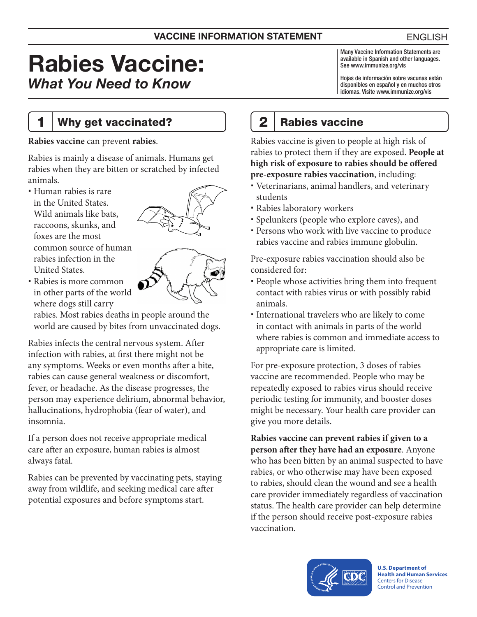#### VACCINE INFORMATION STATEMENT

# Rabies Vaccine: *What You Need to Know*

1 | Why get vaccinated?

**Rabies vaccine** can prevent **rabies**.

Rabies is mainly a disease of animals. Humans get rabies when they are bitten or scratched by infected animals.

 Human rabies is rare in the United States. Wild animals like bats, raccoons, skunks, and foxes are the most common source of human rabies infection in the United States.



 Rabies is more common in other parts of the world where dogs still carry

rabies. Most rabies deaths in people around the world are caused by bites from unvaccinated dogs.

Rabies infects the central nervous system. After infection with rabies, at first there might not be any symptoms. Weeks or even months after a bite, rabies can cause general weakness or discomfort, fever, or headache. As the disease progresses, the person may experience delirium, abnormal behavior, hallucinations, hydrophobia (fear of water), and insomnia.

If a person does not receive appropriate medical care after an exposure, human rabies is almost always fatal.

Rabies can be prevented by vaccinating pets, staying away from wildlife, and seeking medical care after potential exposures and before symptoms start.

# 2 | Rabies vaccine

Rabies vaccine is given to people at high risk of rabies to protect them if they are exposed. **People at high risk of exposure to rabies should be offered pre-exposure rabies vaccination**, including:

- Veterinarians, animal handlers, and veterinary students
- Rabies laboratory workers
- Spelunkers (people who explore caves), and
- Persons who work with live vaccine to produce rabies vaccine and rabies immune globulin.

Pre-exposure rabies vaccination should also be considered for:

- People whose activities bring them into frequent contact with rabies virus or with possibly rabid animals.
- International travelers who are likely to come in contact with animals in parts of the world where rabies is common and immediate access to appropriate care is limited.

For pre-exposure protection, 3 doses of rabies vaccine are recommended. People who may be repeatedly exposed to rabies virus should receive periodic testing for immunity, and booster doses might be necessary. Your health care provider can give you more details.

**Rabies vaccine can prevent rabies if given to a person after they have had an exposure**. Anyone who has been bitten by an animal suspected to have rabies, or who otherwise may have been exposed to rabies, should clean the wound and see a health care provider immediately regardless of vaccination status. The health care provider can help determine if the person should receive post-exposure rabies vaccination.



**U.S. Department of Health and Human Services**  Centers for Disease Control and Prevention

Many Vaccine Information Statements are available in Spanish and other languages.

Hojas de información sobre vacunas están disponibles en español y en muchos otros idiomas. Visite [www.immunize.org/vis](http://www.immunize.org/vis)

See [www.immunize.org/vis](http://www.immunize.org/vis)